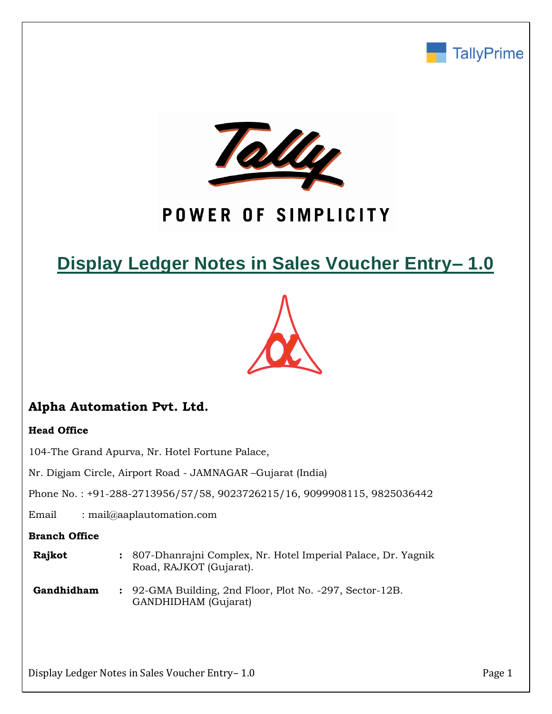



# POWER OF SIMPLICITY

# **Display Ledger Notes in Sales Voucher Entry– 1.0**



# **Alpha Automation Pvt. Ltd.**

## **Head Office**

104-The Grand Apurva, Nr. Hotel Fortune Palace,

Nr. Digjam Circle, Airport Road - JAMNAGAR –Gujarat (India)

Phone No. : +91-288-2713956/57/58, 9023726215/16, 9099908115, 9825036442

Email : mail@aaplautomation.com

### **Branch Office**

- **Rajkot :** 807-Dhanrajni Complex, Nr. Hotel Imperial Palace, Dr. Yagnik Road, RAJKOT (Gujarat).
- **Gandhidham :** 92-GMA Building, 2nd Floor, Plot No. -297, Sector-12B. GANDHIDHAM (Gujarat)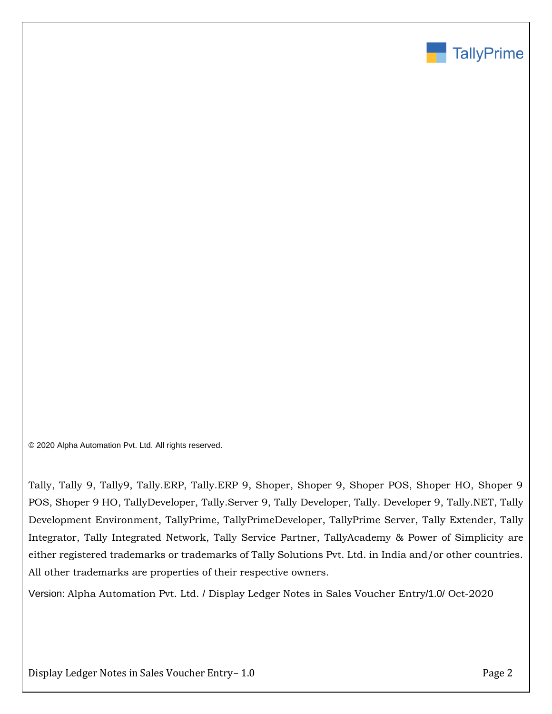

© 2020 Alpha Automation Pvt. Ltd. All rights reserved.

Tally, Tally 9, Tally9, Tally.ERP, Tally.ERP 9, Shoper, Shoper 9, Shoper POS, Shoper HO, Shoper 9 POS, Shoper 9 HO, TallyDeveloper, Tally.Server 9, Tally Developer, Tally. Developer 9, Tally.NET, Tally Development Environment, TallyPrime, TallyPrimeDeveloper, TallyPrime Server, Tally Extender, Tally Integrator, Tally Integrated Network, Tally Service Partner, TallyAcademy & Power of Simplicity are either registered trademarks or trademarks of Tally Solutions Pvt. Ltd. in India and/or other countries. All other trademarks are properties of their respective owners.

Version: Alpha Automation Pvt. Ltd. / Display Ledger Notes in Sales Voucher Entry/1.0/ Oct-2020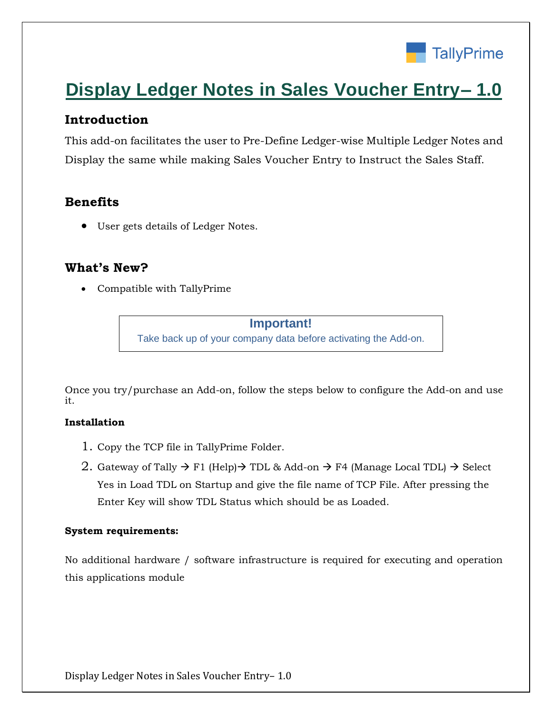

# **Display Ledger Notes in Sales Voucher Entry– 1.0**

# **Introduction**

This add-on facilitates the user to Pre-Define Ledger-wise Multiple Ledger Notes and Display the same while making Sales Voucher Entry to Instruct the Sales Staff.

# **Benefits**

• User gets details of Ledger Notes.

## **What's New?**

• Compatible with TallyPrime

**Important!** Take back up of your company data before activating the Add-on.

Once you try/purchase an Add-on, follow the steps below to configure the Add-on and use it.

### **Installation**

- 1. Copy the TCP file in TallyPrime Folder.
- 2. Gateway of Tally  $\rightarrow$  F1 (Help) $\rightarrow$  TDL & Add-on  $\rightarrow$  F4 (Manage Local TDL)  $\rightarrow$  Select Yes in Load TDL on Startup and give the file name of TCP File. After pressing the Enter Key will show TDL Status which should be as Loaded.

## **System requirements:**

No additional hardware / software infrastructure is required for executing and operation this applications module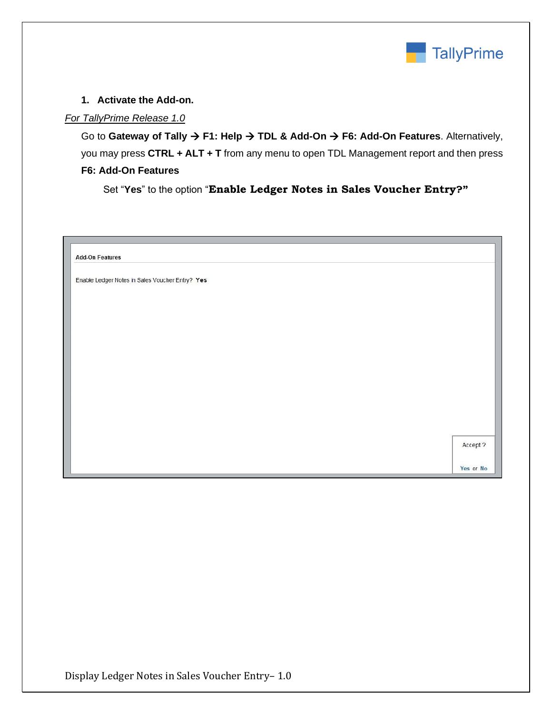

### **1. Activate the Add-on.**

### *For TallyPrime Release 1.0*

Go to **Gateway of Tally** → **F1: Help** → **TDL & Add-On** → **F6: Add-On Features**. Alternatively, you may press **CTRL + ALT + T** from any menu to open TDL Management report and then press **F6: Add-On Features**

Set "**Yes**" to the option "**Enable Ledger Notes in Sales Voucher Entry?"**

| <b>Add-On Features</b>                          |          |
|-------------------------------------------------|----------|
| Enable Ledger Notes in Sales Voucher Entry? Yes |          |
|                                                 |          |
|                                                 |          |
|                                                 |          |
|                                                 |          |
|                                                 |          |
|                                                 |          |
|                                                 |          |
|                                                 |          |
|                                                 |          |
|                                                 | Accept ? |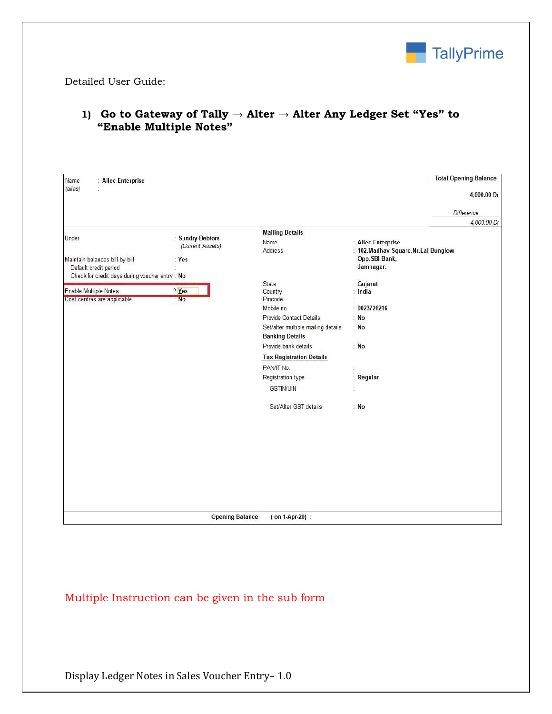

Detailed User Guide:

| : Allec Enterprise<br>Name                                                                                         |                                             |                                                              |                                                                                            | <b>Total Opening Balance</b> |  |
|--------------------------------------------------------------------------------------------------------------------|---------------------------------------------|--------------------------------------------------------------|--------------------------------------------------------------------------------------------|------------------------------|--|
| (alias)<br>ž.                                                                                                      |                                             |                                                              |                                                                                            | 4,000.00 Dr                  |  |
|                                                                                                                    |                                             |                                                              |                                                                                            | Difference                   |  |
|                                                                                                                    |                                             |                                                              |                                                                                            | 4,000.00 Dr                  |  |
|                                                                                                                    |                                             | <b>Mailing Details</b>                                       |                                                                                            |                              |  |
| Under<br>Maintain balances bill-by-bill<br>Default credit period<br>Check for credit days during voucher entry: No | : Sundry Debtors<br>(Current Assets)<br>Yes | Name<br>Address                                              | : Allec Enterprise<br>: 102, Madhav Square, Nr. Lal Bunglow<br>Opp. SBI Bank,<br>Jamnagar. |                              |  |
|                                                                                                                    |                                             | State                                                        | : Gujarat                                                                                  |                              |  |
| Enable Multiple Notes                                                                                              | $?$ Yes                                     | Country                                                      | : India                                                                                    |                              |  |
| Cost centres are applicable                                                                                        | : No                                        | Pincode                                                      | õ.                                                                                         |                              |  |
|                                                                                                                    |                                             | Mobile no.                                                   | : 9023726216                                                                               |                              |  |
|                                                                                                                    |                                             | Provide Contact Details                                      | : No                                                                                       |                              |  |
|                                                                                                                    |                                             | Set/alter multiple mailing details<br><b>Banking Details</b> | : No                                                                                       |                              |  |
|                                                                                                                    |                                             | Provide bank details                                         | : No                                                                                       |                              |  |
|                                                                                                                    |                                             |                                                              |                                                                                            |                              |  |
|                                                                                                                    |                                             | <b>Tax Registration Details</b>                              |                                                                                            |                              |  |
|                                                                                                                    |                                             | PAN/IT No.                                                   | Ĩ.                                                                                         |                              |  |
|                                                                                                                    |                                             | Registration type                                            | : Regular                                                                                  |                              |  |
|                                                                                                                    |                                             | <b>GSTIN/UIN</b>                                             | à.                                                                                         |                              |  |
|                                                                                                                    |                                             | Set/Alter GST details                                        | : No                                                                                       |                              |  |
|                                                                                                                    |                                             |                                                              |                                                                                            |                              |  |
|                                                                                                                    |                                             |                                                              |                                                                                            |                              |  |
|                                                                                                                    |                                             |                                                              |                                                                                            |                              |  |
|                                                                                                                    |                                             |                                                              |                                                                                            |                              |  |
|                                                                                                                    |                                             |                                                              |                                                                                            |                              |  |
|                                                                                                                    | <b>Opening Balance</b>                      | (on 1-Apr-20):                                               |                                                                                            |                              |  |

## **1) Go to Gateway of Tally → Alter → Alter Any Ledger Set "Yes" to "Enable Multiple Notes"**

Multiple Instruction can be given in the sub form

Display Ledger Notes in Sales Voucher Entry– 1.0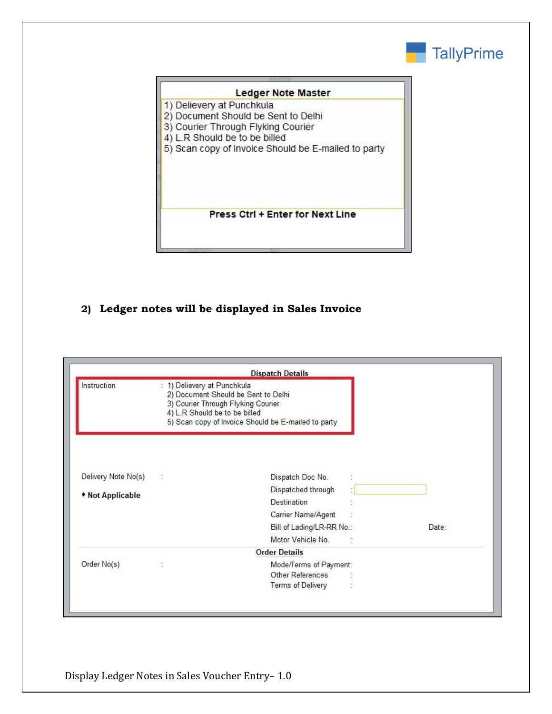

#### Ledger Note Master

- 1) Delievery at Punchkula
- 2) Document Should be Sent to Delhi
- 3) Courier Through Flyking Courier
- 4) L.R Should be to be billed
- 5) Scan copy of Invoice Should be E-mailed to party

**Press Ctrl + Enter for Next Line** 

## **2) Ledger notes will be displayed in Sales Invoice**

|                     |                                                                                                                                         | <b>Dispatch Details</b>                             |       |
|---------------------|-----------------------------------------------------------------------------------------------------------------------------------------|-----------------------------------------------------|-------|
| <b>Instruction</b>  | 1) Delievery at Punchkula<br>2) Document Should be Sent to Delhi<br>3) Courier Through Flyking Courier<br>4) L.R Should be to be billed | 5) Scan copy of Invoice Should be E-mailed to party |       |
| Delivery Note No(s) | $\mathcal{L}_{\mathcal{A}}$                                                                                                             | Dispatch Doc No.                                    |       |
| • Not Applicable    |                                                                                                                                         | Dispatched through                                  |       |
|                     |                                                                                                                                         | Destination                                         |       |
|                     |                                                                                                                                         | Carrier Name/Agent                                  |       |
|                     |                                                                                                                                         | Bill of Lading/LR-RR No.:                           | Date: |
|                     |                                                                                                                                         | Motor Vehicle No.                                   |       |
|                     |                                                                                                                                         | <b>Order Details</b>                                |       |
| Order No(s)         |                                                                                                                                         | Mode/Terms of Payment:                              |       |
|                     |                                                                                                                                         | <b>Other References</b>                             |       |
|                     |                                                                                                                                         | <b>Terms of Delivery</b>                            |       |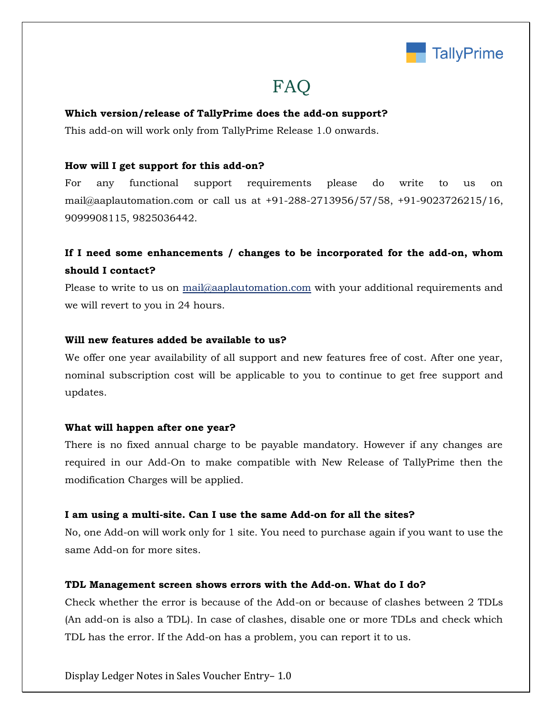

# FAQ

#### **Which version/release of TallyPrime does the add-on support?**

This add-on will work only from TallyPrime Release 1.0 onwards.

#### **How will I get support for this add-on?**

For any functional support requirements please do write to us on mail@aaplautomation.com or call us at +91-288-2713956/57/58, +91-9023726215/16, 9099908115, 9825036442.

## **If I need some enhancements / changes to be incorporated for the add-on, whom should I contact?**

Please to write to us on mail@aaplautomation.com with your additional requirements and we will revert to you in 24 hours.

#### **Will new features added be available to us?**

We offer one year availability of all support and new features free of cost. After one year, nominal subscription cost will be applicable to you to continue to get free support and updates.

#### **What will happen after one year?**

There is no fixed annual charge to be payable mandatory. However if any changes are required in our Add-On to make compatible with New Release of TallyPrime then the modification Charges will be applied.

#### **I am using a multi-site. Can I use the same Add-on for all the sites?**

No, one Add-on will work only for 1 site. You need to purchase again if you want to use the same Add-on for more sites.

#### **TDL Management screen shows errors with the Add-on. What do I do?**

Check whether the error is because of the Add-on or because of clashes between 2 TDLs (An add-on is also a TDL). In case of clashes, disable one or more TDLs and check which TDL has the error. If the Add-on has a problem, you can report it to us.